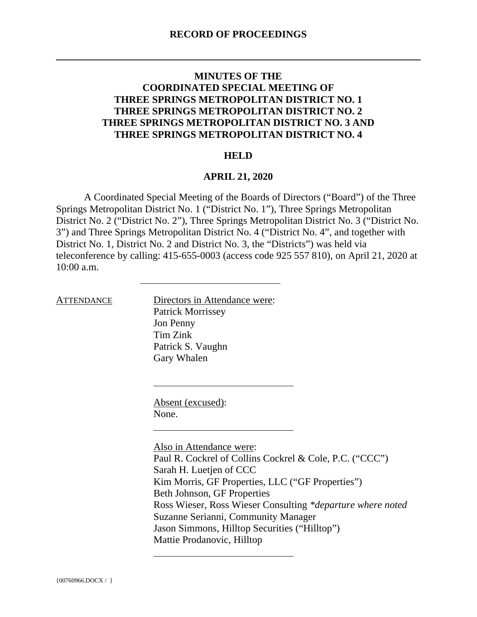## **MINUTES OF THE COORDINATED SPECIAL MEETING OF THREE SPRINGS METROPOLITAN DISTRICT NO. 1 THREE SPRINGS METROPOLITAN DISTRICT NO. 2 THREE SPRINGS METROPOLITAN DISTRICT NO. 3 AND THREE SPRINGS METROPOLITAN DISTRICT NO. 4**

## **HELD**

### **APRIL 21, 2020**

A Coordinated Special Meeting of the Boards of Directors ("Board") of the Three Springs Metropolitan District No. 1 ("District No. 1"), Three Springs Metropolitan District No. 2 ("District No. 2"), Three Springs Metropolitan District No. 3 ("District No. 3") and Three Springs Metropolitan District No. 4 ("District No. 4", and together with District No. 1, District No. 2 and District No. 3, the "Districts") was held via teleconference by calling: 415-655-0003 (access code 925 557 810), on April 21, 2020 at 10:00 a.m.

ATTENDANCE Directors in Attendance were: Patrick Morrissey Jon Penny Tim Zink Patrick S. Vaughn Gary Whalen

> Absent (excused): None.

Also in Attendance were: Paul R. Cockrel of Collins Cockrel & Cole, P.C. ("CCC") Sarah H. Luetjen of CCC Kim Morris, GF Properties, LLC ("GF Properties") Beth Johnson, GF Properties Ross Wieser, Ross Wieser Consulting *\*departure where noted* Suzanne Serianni, Community Manager Jason Simmons, Hilltop Securities ("Hilltop") Mattie Prodanovic, Hilltop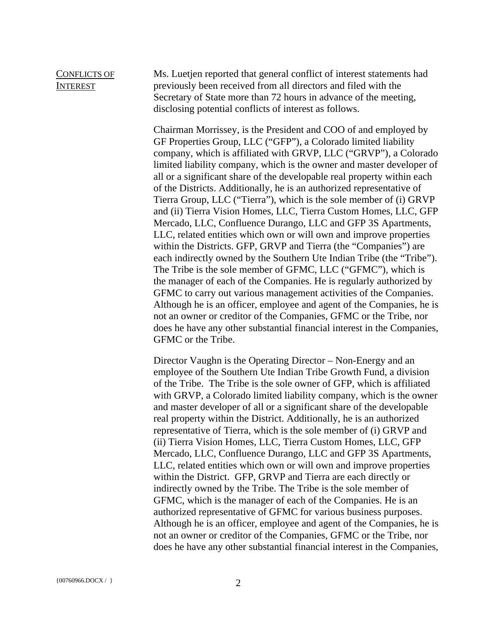#### CONFLICTS OF INTEREST Ms. Luetjen reported that general conflict of interest statements had previously been received from all directors and filed with the Secretary of State more than 72 hours in advance of the meeting,

disclosing potential conflicts of interest as follows.

Chairman Morrissey, is the President and COO of and employed by GF Properties Group, LLC ("GFP"), a Colorado limited liability company, which is affiliated with GRVP, LLC ("GRVP"), a Colorado limited liability company, which is the owner and master developer of all or a significant share of the developable real property within each of the Districts. Additionally, he is an authorized representative of Tierra Group, LLC ("Tierra"), which is the sole member of (i) GRVP and (ii) Tierra Vision Homes, LLC, Tierra Custom Homes, LLC, GFP Mercado, LLC, Confluence Durango, LLC and GFP 3S Apartments, LLC, related entities which own or will own and improve properties within the Districts. GFP, GRVP and Tierra (the "Companies") are each indirectly owned by the Southern Ute Indian Tribe (the "Tribe"). The Tribe is the sole member of GFMC, LLC ("GFMC"), which is the manager of each of the Companies. He is regularly authorized by GFMC to carry out various management activities of the Companies. Although he is an officer, employee and agent of the Companies, he is not an owner or creditor of the Companies, GFMC or the Tribe, nor does he have any other substantial financial interest in the Companies, GFMC or the Tribe.

Director Vaughn is the Operating Director – Non-Energy and an employee of the Southern Ute Indian Tribe Growth Fund, a division of the Tribe. The Tribe is the sole owner of GFP, which is affiliated with GRVP, a Colorado limited liability company, which is the owner and master developer of all or a significant share of the developable real property within the District. Additionally, he is an authorized representative of Tierra, which is the sole member of (i) GRVP and (ii) Tierra Vision Homes, LLC, Tierra Custom Homes, LLC, GFP Mercado, LLC, Confluence Durango, LLC and GFP 3S Apartments, LLC, related entities which own or will own and improve properties within the District. GFP, GRVP and Tierra are each directly or indirectly owned by the Tribe. The Tribe is the sole member of GFMC, which is the manager of each of the Companies. He is an authorized representative of GFMC for various business purposes. Although he is an officer, employee and agent of the Companies, he is not an owner or creditor of the Companies, GFMC or the Tribe, nor does he have any other substantial financial interest in the Companies,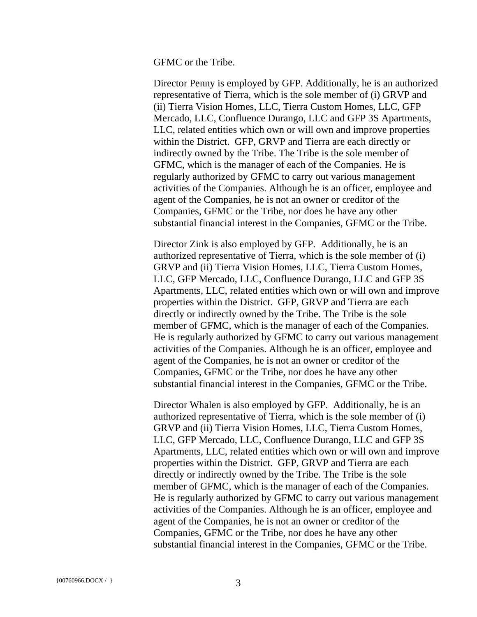GFMC or the Tribe.

Director Penny is employed by GFP. Additionally, he is an authorized representative of Tierra, which is the sole member of (i) GRVP and (ii) Tierra Vision Homes, LLC, Tierra Custom Homes, LLC, GFP Mercado, LLC, Confluence Durango, LLC and GFP 3S Apartments, LLC, related entities which own or will own and improve properties within the District. GFP, GRVP and Tierra are each directly or indirectly owned by the Tribe. The Tribe is the sole member of GFMC, which is the manager of each of the Companies. He is regularly authorized by GFMC to carry out various management activities of the Companies. Although he is an officer, employee and agent of the Companies, he is not an owner or creditor of the Companies, GFMC or the Tribe, nor does he have any other substantial financial interest in the Companies, GFMC or the Tribe.

Director Zink is also employed by GFP. Additionally, he is an authorized representative of Tierra, which is the sole member of (i) GRVP and (ii) Tierra Vision Homes, LLC, Tierra Custom Homes, LLC, GFP Mercado, LLC, Confluence Durango, LLC and GFP 3S Apartments, LLC, related entities which own or will own and improve properties within the District. GFP, GRVP and Tierra are each directly or indirectly owned by the Tribe. The Tribe is the sole member of GFMC, which is the manager of each of the Companies. He is regularly authorized by GFMC to carry out various management activities of the Companies. Although he is an officer, employee and agent of the Companies, he is not an owner or creditor of the Companies, GFMC or the Tribe, nor does he have any other substantial financial interest in the Companies, GFMC or the Tribe.

Director Whalen is also employed by GFP. Additionally, he is an authorized representative of Tierra, which is the sole member of (i) GRVP and (ii) Tierra Vision Homes, LLC, Tierra Custom Homes, LLC, GFP Mercado, LLC, Confluence Durango, LLC and GFP 3S Apartments, LLC, related entities which own or will own and improve properties within the District. GFP, GRVP and Tierra are each directly or indirectly owned by the Tribe. The Tribe is the sole member of GFMC, which is the manager of each of the Companies. He is regularly authorized by GFMC to carry out various management activities of the Companies. Although he is an officer, employee and agent of the Companies, he is not an owner or creditor of the Companies, GFMC or the Tribe, nor does he have any other substantial financial interest in the Companies, GFMC or the Tribe.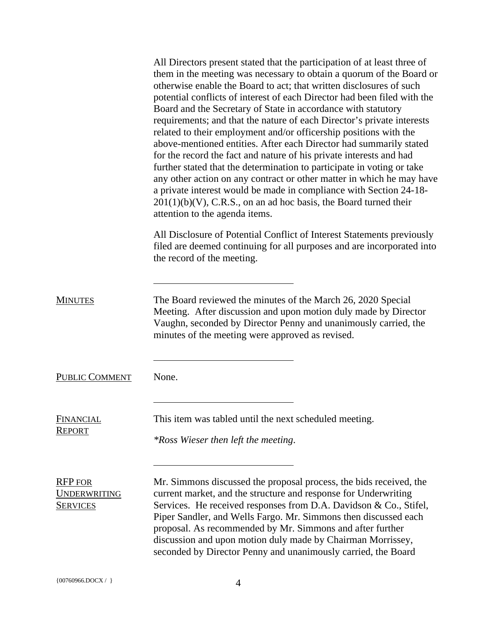|                                                          | All Directors present stated that the participation of at least three of<br>them in the meeting was necessary to obtain a quorum of the Board or<br>otherwise enable the Board to act; that written disclosures of such<br>potential conflicts of interest of each Director had been filed with the<br>Board and the Secretary of State in accordance with statutory<br>requirements; and that the nature of each Director's private interests<br>related to their employment and/or officership positions with the<br>above-mentioned entities. After each Director had summarily stated<br>for the record the fact and nature of his private interests and had<br>further stated that the determination to participate in voting or take<br>any other action on any contract or other matter in which he may have<br>a private interest would be made in compliance with Section 24-18-<br>$201(1)(b)(V)$ , C.R.S., on an ad hoc basis, the Board turned their<br>attention to the agenda items. |
|----------------------------------------------------------|----------------------------------------------------------------------------------------------------------------------------------------------------------------------------------------------------------------------------------------------------------------------------------------------------------------------------------------------------------------------------------------------------------------------------------------------------------------------------------------------------------------------------------------------------------------------------------------------------------------------------------------------------------------------------------------------------------------------------------------------------------------------------------------------------------------------------------------------------------------------------------------------------------------------------------------------------------------------------------------------------|
|                                                          | All Disclosure of Potential Conflict of Interest Statements previously<br>filed are deemed continuing for all purposes and are incorporated into<br>the record of the meeting.                                                                                                                                                                                                                                                                                                                                                                                                                                                                                                                                                                                                                                                                                                                                                                                                                     |
| <b>MINUTES</b>                                           | The Board reviewed the minutes of the March 26, 2020 Special<br>Meeting. After discussion and upon motion duly made by Director<br>Vaughn, seconded by Director Penny and unanimously carried, the<br>minutes of the meeting were approved as revised.                                                                                                                                                                                                                                                                                                                                                                                                                                                                                                                                                                                                                                                                                                                                             |
| <b>PUBLIC COMMENT</b>                                    | None.                                                                                                                                                                                                                                                                                                                                                                                                                                                                                                                                                                                                                                                                                                                                                                                                                                                                                                                                                                                              |
| FINANCIAL<br><b>REPORT</b>                               | This item was tabled until the next scheduled meeting.<br><i>*Ross Wieser then left the meeting.</i>                                                                                                                                                                                                                                                                                                                                                                                                                                                                                                                                                                                                                                                                                                                                                                                                                                                                                               |
| <b>RFP FOR</b><br><b>UNDERWRITING</b><br><b>SERVICES</b> | Mr. Simmons discussed the proposal process, the bids received, the<br>current market, and the structure and response for Underwriting<br>Services. He received responses from D.A. Davidson & Co., Stifel,<br>Piper Sandler, and Wells Fargo. Mr. Simmons then discussed each<br>proposal. As recommended by Mr. Simmons and after further<br>discussion and upon motion duly made by Chairman Morrissey,<br>seconded by Director Penny and unanimously carried, the Board                                                                                                                                                                                                                                                                                                                                                                                                                                                                                                                         |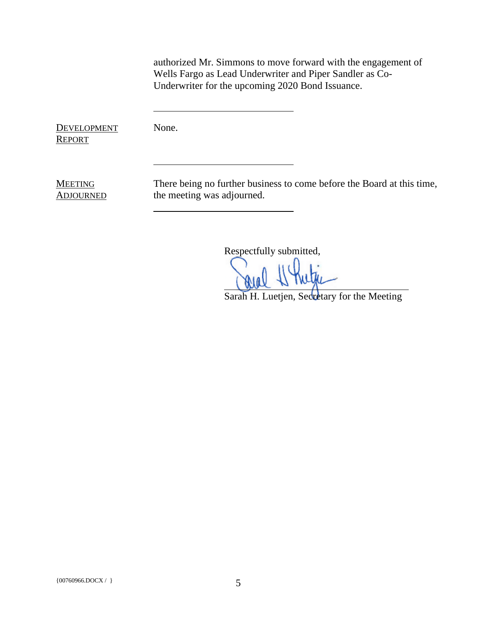authorized Mr. Simmons to move forward with the engagement of Wells Fargo as Lead Underwriter and Piper Sandler as Co-Underwriter for the upcoming 2020 Bond Issuance.

**DEVELOPMENT REPORT** 

None.

**MEETING** ADJOURNED There being no further business to come before the Board at this time, the meeting was adjourned.

Respectfully submitted,

Sarah H. Luetjen, Secretary for the Meeting